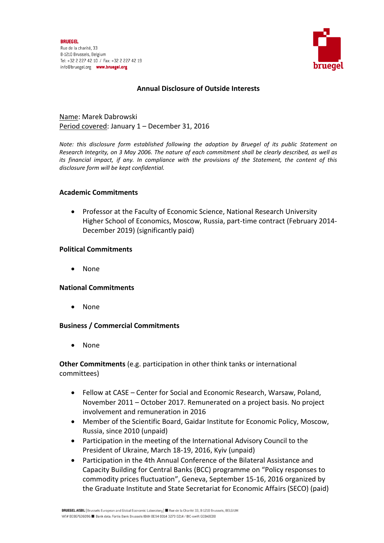

## **Annual Disclosure of Outside Interests**

# Name: Marek Dabrowski Period covered: January 1 – December 31, 2016

*Note: this disclosure form established following the adoption by Bruegel of its public Statement on Research Integrity, on 3 May 2006. The nature of each commitment shall be clearly described, as well as its financial impact, if any. In compliance with the provisions of the Statement, the content of this disclosure form will be kept confidential.* 

## **Academic Commitments**

 Professor at the Faculty of Economic Science, National Research University Higher School of Economics, Moscow, Russia, part-time contract (February 2014- December 2019) (significantly paid)

### **Political Commitments**

• None

## **National Commitments**

• None

## **Business / Commercial Commitments**

• None

**Other Commitments** (e.g. participation in other think tanks or international committees)

- Fellow at CASE Center for Social and Economic Research, Warsaw, Poland, November 2011 – October 2017. Remunerated on a project basis. No project involvement and remuneration in 2016
- Member of the Scientific Board, Gaidar Institute for Economic Policy, Moscow, Russia, since 2010 (unpaid)
- Participation in the meeting of the International Advisory Council to the President of Ukraine, March 18-19, 2016, Kyiv (unpaid)
- Participation in the 4th Annual Conference of the Bilateral Assistance and Capacity Building for Central Banks (BCC) programme on "Policy responses to commodity prices fluctuation", Geneva, September 15-16, 2016 organized by the Graduate Institute and State Secretariat for Economic Affairs (SECO) (paid)